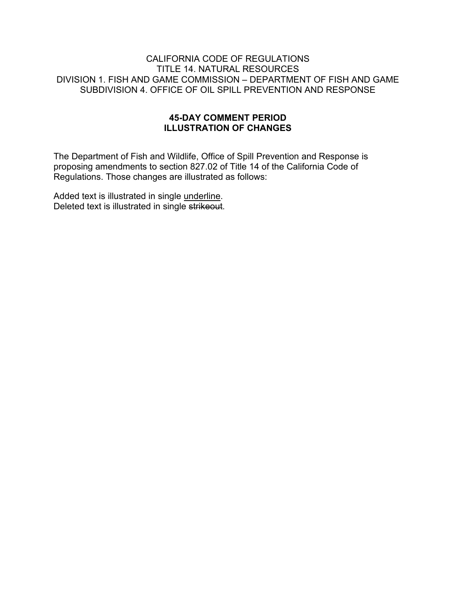#### CALIFORNIA CODE OF REGULATIONS TITLE 14. NATURAL RESOURCES DIVISION 1. FISH AND GAME COMMISSION – DEPARTMENT OF FISH AND GAME SUBDIVISION 4. OFFICE OF OIL SPILL PREVENTION AND RESPONSE

#### **45-DAY COMMENT PERIOD ILLUSTRATION OF CHANGES**

The Department of Fish and Wildlife, Office of Spill Prevention and Response is proposing amendments to section 827.02 of Title 14 of the California Code of Regulations. Those changes are illustrated as follows:

Added text is illustrated in single underline. Deleted text is illustrated in single strikeout.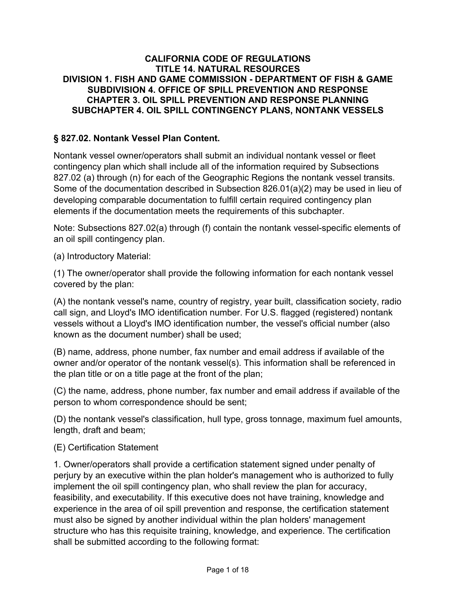### **CALIFORNIA CODE OF REGULATIONS TITLE 14. NATURAL RESOURCES DIVISION 1. FISH AND GAME COMMISSION - DEPARTMENT OF FISH & GAME SUBDIVISION 4. OFFICE OF SPILL PREVENTION AND RESPONSE CHAPTER 3. OIL SPILL PREVENTION AND RESPONSE PLANNING SUBCHAPTER 4. OIL SPILL CONTINGENCY PLANS, NONTANK VESSELS**

## **§ 827.02. Nontank Vessel Plan Content.**

Nontank vessel owner/operators shall submit an individual nontank vessel or fleet contingency plan which shall include all of the information required by Subsections 827.02 (a) through (n) for each of the Geographic Regions the nontank vessel transits. Some of the documentation described in Subsection 826.01(a)(2) may be used in lieu of developing comparable documentation to fulfill certain required contingency plan elements if the documentation meets the requirements of this subchapter.

Note: Subsections 827.02(a) through (f) contain the nontank vessel-specific elements of an oil spill contingency plan.

(a) Introductory Material:

(1) The owner/operator shall provide the following information for each nontank vessel covered by the plan:

(A) the nontank vessel's name, country of registry, year built, classification society, radio call sign, and Lloyd's IMO identification number. For U.S. flagged (registered) nontank vessels without a Lloyd's IMO identification number, the vessel's official number (also known as the document number) shall be used;

(B) name, address, phone number, fax number and email address if available of the owner and/or operator of the nontank vessel(s). This information shall be referenced in the plan title or on a title page at the front of the plan;

(C) the name, address, phone number, fax number and email address if available of the person to whom correspondence should be sent;

(D) the nontank vessel's classification, hull type, gross tonnage, maximum fuel amounts, length, draft and beam;

#### (E) Certification Statement

1. Owner/operators shall provide a certification statement signed under penalty of perjury by an executive within the plan holder's management who is authorized to fully implement the oil spill contingency plan, who shall review the plan for accuracy, feasibility, and executability. If this executive does not have training, knowledge and experience in the area of oil spill prevention and response, the certification statement must also be signed by another individual within the plan holders' management structure who has this requisite training, knowledge, and experience. The certification shall be submitted according to the following format: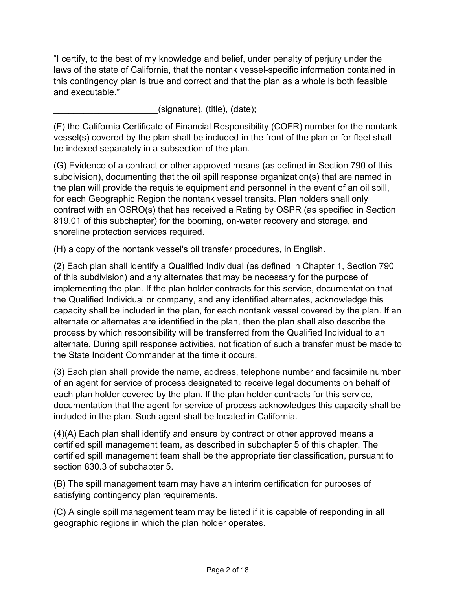"I certify, to the best of my knowledge and belief, under penalty of perjury under the laws of the state of California, that the nontank vessel-specific information contained in this contingency plan is true and correct and that the plan as a whole is both feasible and executable."

 $(signature)$ ,  $(title)$ ,  $(date)$ ;

(F) the California Certificate of Financial Responsibility (COFR) number for the nontank vessel(s) covered by the plan shall be included in the front of the plan or for fleet shall be indexed separately in a subsection of the plan.

(G) Evidence of a contract or other approved means (as defined in Section 790 of this subdivision), documenting that the oil spill response organization(s) that are named in the plan will provide the requisite equipment and personnel in the event of an oil spill, for each Geographic Region the nontank vessel transits. Plan holders shall only contract with an OSRO(s) that has received a Rating by OSPR (as specified in Section 819.01 of this subchapter) for the booming, on-water recovery and storage, and shoreline protection services required.

(H) a copy of the nontank vessel's oil transfer procedures, in English.

(2) Each plan shall identify a Qualified Individual (as defined in Chapter 1, Section 790 of this subdivision) and any alternates that may be necessary for the purpose of implementing the plan. If the plan holder contracts for this service, documentation that the Qualified Individual or company, and any identified alternates, acknowledge this capacity shall be included in the plan, for each nontank vessel covered by the plan. If an alternate or alternates are identified in the plan, then the plan shall also describe the process by which responsibility will be transferred from the Qualified Individual to an alternate. During spill response activities, notification of such a transfer must be made to the State Incident Commander at the time it occurs.

(3) Each plan shall provide the name, address, telephone number and facsimile number of an agent for service of process designated to receive legal documents on behalf of each plan holder covered by the plan. If the plan holder contracts for this service, documentation that the agent for service of process acknowledges this capacity shall be included in the plan. Such agent shall be located in California.

(4)(A) Each plan shall identify and ensure by contract or other approved means a certified spill management team, as described in subchapter 5 of this chapter. The certified spill management team shall be the appropriate tier classification, pursuant to section 830.3 of subchapter 5.

(B) The spill management team may have an interim certification for purposes of satisfying contingency plan requirements.

(C) A single spill management team may be listed if it is capable of responding in all geographic regions in which the plan holder operates.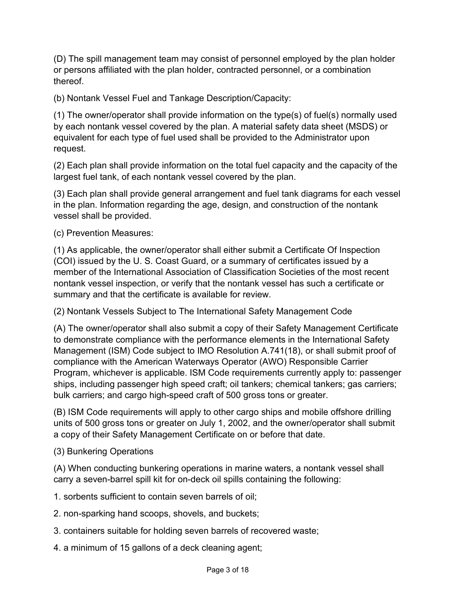(D) The spill management team may consist of personnel employed by the plan holder or persons affiliated with the plan holder, contracted personnel, or a combination thereof.

(b) Nontank Vessel Fuel and Tankage Description/Capacity:

(1) The owner/operator shall provide information on the type(s) of fuel(s) normally used by each nontank vessel covered by the plan. A material safety data sheet (MSDS) or equivalent for each type of fuel used shall be provided to the Administrator upon request.

(2) Each plan shall provide information on the total fuel capacity and the capacity of the largest fuel tank, of each nontank vessel covered by the plan.

(3) Each plan shall provide general arrangement and fuel tank diagrams for each vessel in the plan. Information regarding the age, design, and construction of the nontank vessel shall be provided.

(c) Prevention Measures:

(1) As applicable, the owner/operator shall either submit a Certificate Of Inspection (COI) issued by the U. S. Coast Guard, or a summary of certificates issued by a member of the International Association of Classification Societies of the most recent nontank vessel inspection, or verify that the nontank vessel has such a certificate or summary and that the certificate is available for review.

(2) Nontank Vessels Subject to The International Safety Management Code

(A) The owner/operator shall also submit a copy of their Safety Management Certificate to demonstrate compliance with the performance elements in the International Safety Management (ISM) Code subject to IMO Resolution A.741(18), or shall submit proof of compliance with the American Waterways Operator (AWO) Responsible Carrier Program, whichever is applicable. ISM Code requirements currently apply to: passenger ships, including passenger high speed craft; oil tankers; chemical tankers; gas carriers; bulk carriers; and cargo high-speed craft of 500 gross tons or greater.

(B) ISM Code requirements will apply to other cargo ships and mobile offshore drilling units of 500 gross tons or greater on July 1, 2002, and the owner/operator shall submit a copy of their Safety Management Certificate on or before that date.

(3) Bunkering Operations

(A) When conducting bunkering operations in marine waters, a nontank vessel shall carry a seven-barrel spill kit for on-deck oil spills containing the following:

1. sorbents sufficient to contain seven barrels of oil;

- 2. non-sparking hand scoops, shovels, and buckets;
- 3. containers suitable for holding seven barrels of recovered waste;
- 4. a minimum of 15 gallons of a deck cleaning agent;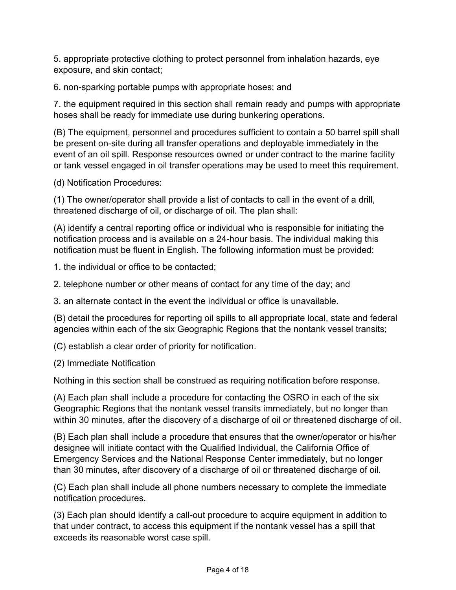5. appropriate protective clothing to protect personnel from inhalation hazards, eye exposure, and skin contact;

6. non-sparking portable pumps with appropriate hoses; and

7. the equipment required in this section shall remain ready and pumps with appropriate hoses shall be ready for immediate use during bunkering operations.

(B) The equipment, personnel and procedures sufficient to contain a 50 barrel spill shall be present on-site during all transfer operations and deployable immediately in the event of an oil spill. Response resources owned or under contract to the marine facility or tank vessel engaged in oil transfer operations may be used to meet this requirement.

(d) Notification Procedures:

(1) The owner/operator shall provide a list of contacts to call in the event of a drill, threatened discharge of oil, or discharge of oil. The plan shall:

(A) identify a central reporting office or individual who is responsible for initiating the notification process and is available on a 24-hour basis. The individual making this notification must be fluent in English. The following information must be provided:

1. the individual or office to be contacted;

2. telephone number or other means of contact for any time of the day; and

3. an alternate contact in the event the individual or office is unavailable.

(B) detail the procedures for reporting oil spills to all appropriate local, state and federal agencies within each of the six Geographic Regions that the nontank vessel transits;

(C) establish a clear order of priority for notification.

(2) Immediate Notification

Nothing in this section shall be construed as requiring notification before response.

(A) Each plan shall include a procedure for contacting the OSRO in each of the six Geographic Regions that the nontank vessel transits immediately, but no longer than within 30 minutes, after the discovery of a discharge of oil or threatened discharge of oil.

(B) Each plan shall include a procedure that ensures that the owner/operator or his/her designee will initiate contact with the Qualified Individual, the California Office of Emergency Services and the National Response Center immediately, but no longer than 30 minutes, after discovery of a discharge of oil or threatened discharge of oil.

(C) Each plan shall include all phone numbers necessary to complete the immediate notification procedures.

(3) Each plan should identify a call-out procedure to acquire equipment in addition to that under contract, to access this equipment if the nontank vessel has a spill that exceeds its reasonable worst case spill.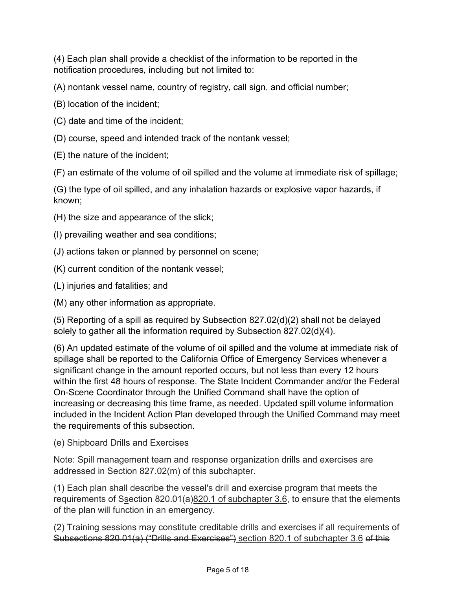(4) Each plan shall provide a checklist of the information to be reported in the notification procedures, including but not limited to:

(A) nontank vessel name, country of registry, call sign, and official number;

- (B) location of the incident;
- (C) date and time of the incident;
- (D) course, speed and intended track of the nontank vessel;
- (E) the nature of the incident;

(F) an estimate of the volume of oil spilled and the volume at immediate risk of spillage;

(G) the type of oil spilled, and any inhalation hazards or explosive vapor hazards, if known;

- (H) the size and appearance of the slick;
- (I) prevailing weather and sea conditions;
- (J) actions taken or planned by personnel on scene;
- (K) current condition of the nontank vessel;
- (L) injuries and fatalities; and
- (M) any other information as appropriate.

(5) Reporting of a spill as required by Subsection 827.02(d)(2) shall not be delayed solely to gather all the information required by Subsection 827.02(d)(4).

(6) An updated estimate of the volume of oil spilled and the volume at immediate risk of spillage shall be reported to the California Office of Emergency Services whenever a significant change in the amount reported occurs, but not less than every 12 hours within the first 48 hours of response. The State Incident Commander and/or the Federal On-Scene Coordinator through the Unified Command shall have the option of increasing or decreasing this time frame, as needed. Updated spill volume information included in the Incident Action Plan developed through the Unified Command may meet the requirements of this subsection.

(e) Shipboard Drills and Exercises

Note: Spill management team and response organization drills and exercises are addressed in Section 827.02(m) of this subchapter.

(1) Each plan shall describe the vessel's drill and exercise program that meets the requirements of Ssection  $820.01(a)820.1$  of subchapter 3.6, to ensure that the elements of the plan will function in an emergency.

(2) Training sessions may constitute creditable drills and exercises if all requirements of Subsections 820.01(a) ("Drills and Exercises") section 820.1 of subchapter 3.6 of this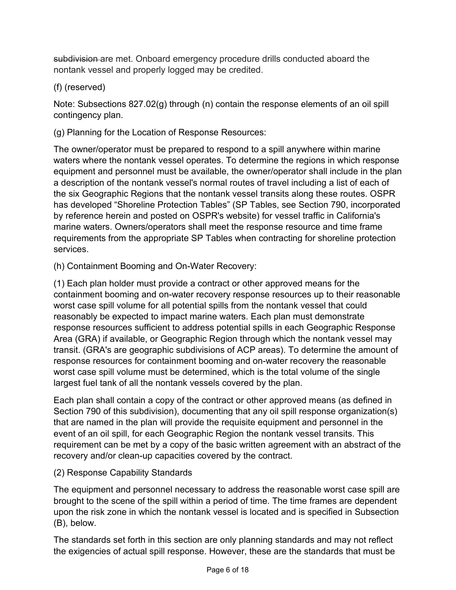subdivision are met. Onboard emergency procedure drills conducted aboard the nontank vessel and properly logged may be credited.

# (f) (reserved)

Note: Subsections 827.02(g) through (n) contain the response elements of an oil spill contingency plan.

(g) Planning for the Location of Response Resources:

The owner/operator must be prepared to respond to a spill anywhere within marine waters where the nontank vessel operates. To determine the regions in which response equipment and personnel must be available, the owner/operator shall include in the plan a description of the nontank vessel's normal routes of travel including a list of each of the six Geographic Regions that the nontank vessel transits along these routes. OSPR has developed "Shoreline Protection Tables" (SP Tables, see Section 790, incorporated by reference herein and posted on OSPR's website) for vessel traffic in California's marine waters. Owners/operators shall meet the response resource and time frame requirements from the appropriate SP Tables when contracting for shoreline protection services.

(h) Containment Booming and On-Water Recovery:

(1) Each plan holder must provide a contract or other approved means for the containment booming and on-water recovery response resources up to their reasonable worst case spill volume for all potential spills from the nontank vessel that could reasonably be expected to impact marine waters. Each plan must demonstrate response resources sufficient to address potential spills in each Geographic Response Area (GRA) if available, or Geographic Region through which the nontank vessel may transit. (GRA's are geographic subdivisions of ACP areas). To determine the amount of response resources for containment booming and on-water recovery the reasonable worst case spill volume must be determined, which is the total volume of the single largest fuel tank of all the nontank vessels covered by the plan.

Each plan shall contain a copy of the contract or other approved means (as defined in Section 790 of this subdivision), documenting that any oil spill response organization(s) that are named in the plan will provide the requisite equipment and personnel in the event of an oil spill, for each Geographic Region the nontank vessel transits. This requirement can be met by a copy of the basic written agreement with an abstract of the recovery and/or clean-up capacities covered by the contract.

### (2) Response Capability Standards

The equipment and personnel necessary to address the reasonable worst case spill are brought to the scene of the spill within a period of time. The time frames are dependent upon the risk zone in which the nontank vessel is located and is specified in Subsection (B), below.

The standards set forth in this section are only planning standards and may not reflect the exigencies of actual spill response. However, these are the standards that must be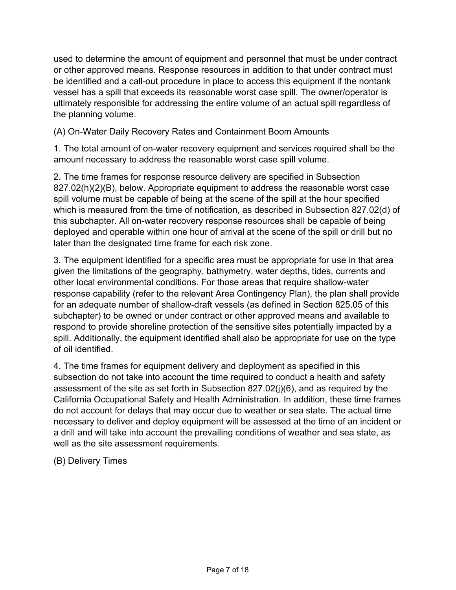used to determine the amount of equipment and personnel that must be under contract or other approved means. Response resources in addition to that under contract must be identified and a call-out procedure in place to access this equipment if the nontank vessel has a spill that exceeds its reasonable worst case spill. The owner/operator is ultimately responsible for addressing the entire volume of an actual spill regardless of the planning volume.

(A) On-Water Daily Recovery Rates and Containment Boom Amounts

1. The total amount of on-water recovery equipment and services required shall be the amount necessary to address the reasonable worst case spill volume.

2. The time frames for response resource delivery are specified in Subsection 827.02(h)(2)(B), below. Appropriate equipment to address the reasonable worst case spill volume must be capable of being at the scene of the spill at the hour specified which is measured from the time of notification, as described in Subsection 827.02(d) of this subchapter. All on-water recovery response resources shall be capable of being deployed and operable within one hour of arrival at the scene of the spill or drill but no later than the designated time frame for each risk zone.

3. The equipment identified for a specific area must be appropriate for use in that area given the limitations of the geography, bathymetry, water depths, tides, currents and other local environmental conditions. For those areas that require shallow-water response capability (refer to the relevant Area Contingency Plan), the plan shall provide for an adequate number of shallow-draft vessels (as defined in Section 825.05 of this subchapter) to be owned or under contract or other approved means and available to respond to provide shoreline protection of the sensitive sites potentially impacted by a spill. Additionally, the equipment identified shall also be appropriate for use on the type of oil identified.

4. The time frames for equipment delivery and deployment as specified in this subsection do not take into account the time required to conduct a health and safety assessment of the site as set forth in Subsection 827.02(j)(6), and as required by the California Occupational Safety and Health Administration. In addition, these time frames do not account for delays that may occur due to weather or sea state. The actual time necessary to deliver and deploy equipment will be assessed at the time of an incident or a drill and will take into account the prevailing conditions of weather and sea state, as well as the site assessment requirements.

(B) Delivery Times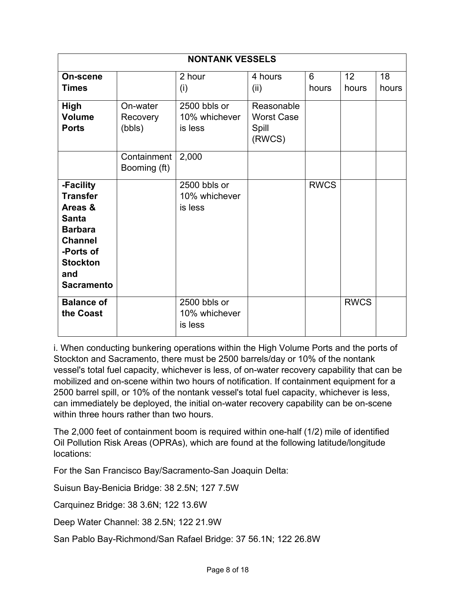| <b>NONTANK VESSELS</b>                                                                                                                                  |                                |                                          |                                                    |             |                          |             |  |
|---------------------------------------------------------------------------------------------------------------------------------------------------------|--------------------------------|------------------------------------------|----------------------------------------------------|-------------|--------------------------|-------------|--|
| On-scene<br><b>Times</b>                                                                                                                                |                                | 2 hour<br>(i)                            | 4 hours<br>(ii)                                    | 6<br>hours  | 12 <sup>2</sup><br>hours | 18<br>hours |  |
| <b>High</b><br><b>Volume</b><br><b>Ports</b>                                                                                                            | On-water<br>Recovery<br>(bbls) | 2500 bbls or<br>10% whichever<br>is less | Reasonable<br><b>Worst Case</b><br>Spill<br>(RWCS) |             |                          |             |  |
|                                                                                                                                                         | Containment<br>Booming (ft)    | 2,000                                    |                                                    |             |                          |             |  |
| -Facility<br><b>Transfer</b><br>Areas &<br><b>Santa</b><br><b>Barbara</b><br><b>Channel</b><br>-Ports of<br><b>Stockton</b><br>and<br><b>Sacramento</b> |                                | 2500 bbls or<br>10% whichever<br>is less |                                                    | <b>RWCS</b> |                          |             |  |
| <b>Balance of</b><br>the Coast                                                                                                                          |                                | 2500 bbls or<br>10% whichever<br>is less |                                                    |             | <b>RWCS</b>              |             |  |

i. When conducting bunkering operations within the High Volume Ports and the ports of Stockton and Sacramento, there must be 2500 barrels/day or 10% of the nontank vessel's total fuel capacity, whichever is less, of on-water recovery capability that can be mobilized and on-scene within two hours of notification. If containment equipment for a 2500 barrel spill, or 10% of the nontank vessel's total fuel capacity, whichever is less, can immediately be deployed, the initial on-water recovery capability can be on-scene within three hours rather than two hours.

The 2,000 feet of containment boom is required within one-half (1/2) mile of identified Oil Pollution Risk Areas (OPRAs), which are found at the following latitude/longitude locations:

For the San Francisco Bay/Sacramento-San Joaquin Delta:

Suisun Bay-Benicia Bridge: 38 2.5N; 127 7.5W

Carquinez Bridge: 38 3.6N; 122 13.6W

Deep Water Channel: 38 2.5N; 122 21.9W

San Pablo Bay-Richmond/San Rafael Bridge: 37 56.1N; 122 26.8W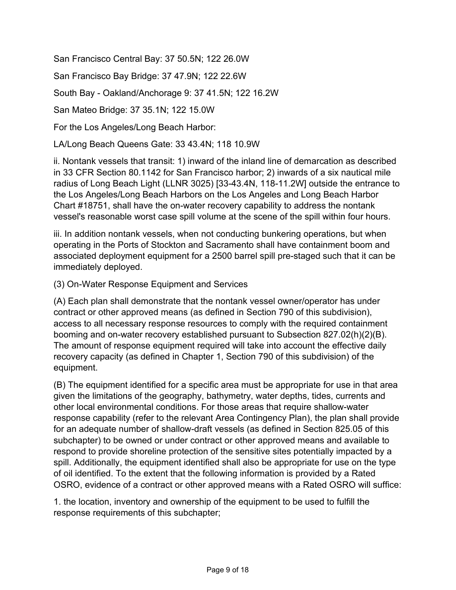San Francisco Central Bay: 37 50.5N; 122 26.0W

San Francisco Bay Bridge: 37 47.9N; 122 22.6W

South Bay - Oakland/Anchorage 9: 37 41.5N; 122 16.2W

San Mateo Bridge: 37 35.1N; 122 15.0W

For the Los Angeles/Long Beach Harbor:

LA/Long Beach Queens Gate: 33 43.4N; 118 10.9W

ii. Nontank vessels that transit: 1) inward of the inland line of demarcation as described in 33 CFR Section 80.1142 for San Francisco harbor; 2) inwards of a six nautical mile radius of Long Beach Light (LLNR 3025) [33-43.4N, 118-11.2W] outside the entrance to the Los Angeles/Long Beach Harbors on the Los Angeles and Long Beach Harbor Chart #18751, shall have the on-water recovery capability to address the nontank vessel's reasonable worst case spill volume at the scene of the spill within four hours.

iii. In addition nontank vessels, when not conducting bunkering operations, but when operating in the Ports of Stockton and Sacramento shall have containment boom and associated deployment equipment for a 2500 barrel spill pre-staged such that it can be immediately deployed.

(3) On-Water Response Equipment and Services

(A) Each plan shall demonstrate that the nontank vessel owner/operator has under contract or other approved means (as defined in Section 790 of this subdivision), access to all necessary response resources to comply with the required containment booming and on-water recovery established pursuant to Subsection 827.02(h)(2)(B). The amount of response equipment required will take into account the effective daily recovery capacity (as defined in Chapter 1, Section 790 of this subdivision) of the equipment.

(B) The equipment identified for a specific area must be appropriate for use in that area given the limitations of the geography, bathymetry, water depths, tides, currents and other local environmental conditions. For those areas that require shallow-water response capability (refer to the relevant Area Contingency Plan), the plan shall provide for an adequate number of shallow-draft vessels (as defined in Section 825.05 of this subchapter) to be owned or under contract or other approved means and available to respond to provide shoreline protection of the sensitive sites potentially impacted by a spill. Additionally, the equipment identified shall also be appropriate for use on the type of oil identified. To the extent that the following information is provided by a Rated OSRO, evidence of a contract or other approved means with a Rated OSRO will suffice:

1. the location, inventory and ownership of the equipment to be used to fulfill the response requirements of this subchapter;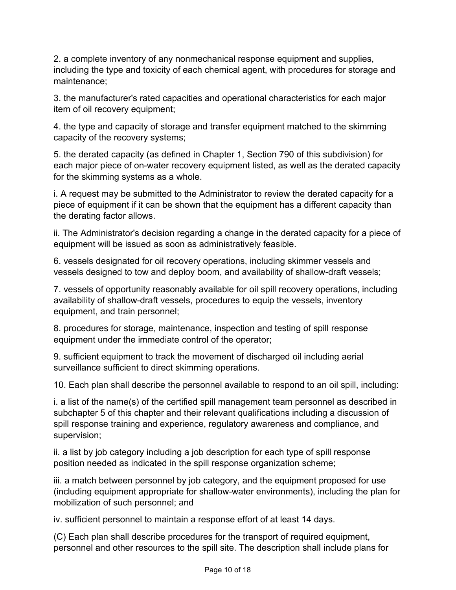2. a complete inventory of any nonmechanical response equipment and supplies, including the type and toxicity of each chemical agent, with procedures for storage and maintenance;

3. the manufacturer's rated capacities and operational characteristics for each major item of oil recovery equipment;

4. the type and capacity of storage and transfer equipment matched to the skimming capacity of the recovery systems;

5. the derated capacity (as defined in Chapter 1, Section 790 of this subdivision) for each major piece of on-water recovery equipment listed, as well as the derated capacity for the skimming systems as a whole.

i. A request may be submitted to the Administrator to review the derated capacity for a piece of equipment if it can be shown that the equipment has a different capacity than the derating factor allows.

ii. The Administrator's decision regarding a change in the derated capacity for a piece of equipment will be issued as soon as administratively feasible.

6. vessels designated for oil recovery operations, including skimmer vessels and vessels designed to tow and deploy boom, and availability of shallow-draft vessels;

7. vessels of opportunity reasonably available for oil spill recovery operations, including availability of shallow-draft vessels, procedures to equip the vessels, inventory equipment, and train personnel;

8. procedures for storage, maintenance, inspection and testing of spill response equipment under the immediate control of the operator;

9. sufficient equipment to track the movement of discharged oil including aerial surveillance sufficient to direct skimming operations.

10. Each plan shall describe the personnel available to respond to an oil spill, including:

i. a list of the name(s) of the certified spill management team personnel as described in subchapter 5 of this chapter and their relevant qualifications including a discussion of spill response training and experience, regulatory awareness and compliance, and supervision;

ii. a list by job category including a job description for each type of spill response position needed as indicated in the spill response organization scheme;

iii. a match between personnel by job category, and the equipment proposed for use (including equipment appropriate for shallow-water environments), including the plan for mobilization of such personnel; and

iv. sufficient personnel to maintain a response effort of at least 14 days.

(C) Each plan shall describe procedures for the transport of required equipment, personnel and other resources to the spill site. The description shall include plans for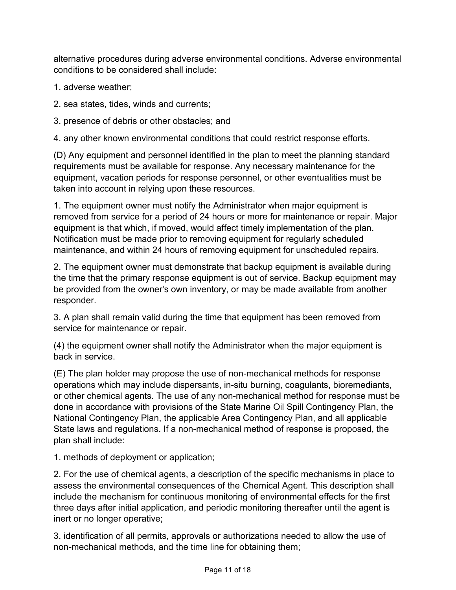alternative procedures during adverse environmental conditions. Adverse environmental conditions to be considered shall include:

- 1. adverse weather;
- 2. sea states, tides, winds and currents;
- 3. presence of debris or other obstacles; and

4. any other known environmental conditions that could restrict response efforts.

(D) Any equipment and personnel identified in the plan to meet the planning standard requirements must be available for response. Any necessary maintenance for the equipment, vacation periods for response personnel, or other eventualities must be taken into account in relying upon these resources.

1. The equipment owner must notify the Administrator when major equipment is removed from service for a period of 24 hours or more for maintenance or repair. Major equipment is that which, if moved, would affect timely implementation of the plan. Notification must be made prior to removing equipment for regularly scheduled maintenance, and within 24 hours of removing equipment for unscheduled repairs.

2. The equipment owner must demonstrate that backup equipment is available during the time that the primary response equipment is out of service. Backup equipment may be provided from the owner's own inventory, or may be made available from another responder.

3. A plan shall remain valid during the time that equipment has been removed from service for maintenance or repair.

(4) the equipment owner shall notify the Administrator when the major equipment is back in service.

(E) The plan holder may propose the use of non-mechanical methods for response operations which may include dispersants, in-situ burning, coagulants, bioremediants, or other chemical agents. The use of any non-mechanical method for response must be done in accordance with provisions of the State Marine Oil Spill Contingency Plan, the National Contingency Plan, the applicable Area Contingency Plan, and all applicable State laws and regulations. If a non-mechanical method of response is proposed, the plan shall include:

1. methods of deployment or application;

2. For the use of chemical agents, a description of the specific mechanisms in place to assess the environmental consequences of the Chemical Agent. This description shall include the mechanism for continuous monitoring of environmental effects for the first three days after initial application, and periodic monitoring thereafter until the agent is inert or no longer operative;

3. identification of all permits, approvals or authorizations needed to allow the use of non-mechanical methods, and the time line for obtaining them;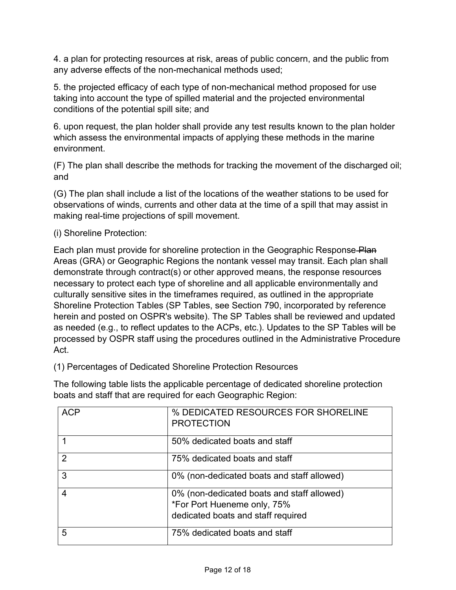4. a plan for protecting resources at risk, areas of public concern, and the public from any adverse effects of the non-mechanical methods used;

5. the projected efficacy of each type of non-mechanical method proposed for use taking into account the type of spilled material and the projected environmental conditions of the potential spill site; and

6. upon request, the plan holder shall provide any test results known to the plan holder which assess the environmental impacts of applying these methods in the marine environment.

(F) The plan shall describe the methods for tracking the movement of the discharged oil; and

(G) The plan shall include a list of the locations of the weather stations to be used for observations of winds, currents and other data at the time of a spill that may assist in making real-time projections of spill movement.

(i) Shoreline Protection:

Each plan must provide for shoreline protection in the Geographic Response Plan Areas (GRA) or Geographic Regions the nontank vessel may transit. Each plan shall demonstrate through contract(s) or other approved means, the response resources necessary to protect each type of shoreline and all applicable environmentally and culturally sensitive sites in the timeframes required, as outlined in the appropriate Shoreline Protection Tables (SP Tables, see Section 790, incorporated by reference herein and posted on OSPR's website). The SP Tables shall be reviewed and updated as needed (e.g., to reflect updates to the ACPs, etc.). Updates to the SP Tables will be processed by OSPR staff using the procedures outlined in the Administrative Procedure Act.

(1) Percentages of Dedicated Shoreline Protection Resources

The following table lists the applicable percentage of dedicated shoreline protection boats and staff that are required for each Geographic Region:

| <b>ACP</b> | % DEDICATED RESOURCES FOR SHORELINE<br><b>PROTECTION</b>                                                        |
|------------|-----------------------------------------------------------------------------------------------------------------|
|            | 50% dedicated boats and staff                                                                                   |
| 2          | 75% dedicated boats and staff                                                                                   |
| 3          | 0% (non-dedicated boats and staff allowed)                                                                      |
|            | 0% (non-dedicated boats and staff allowed)<br>*For Port Hueneme only, 75%<br>dedicated boats and staff required |
| 5          | 75% dedicated boats and staff                                                                                   |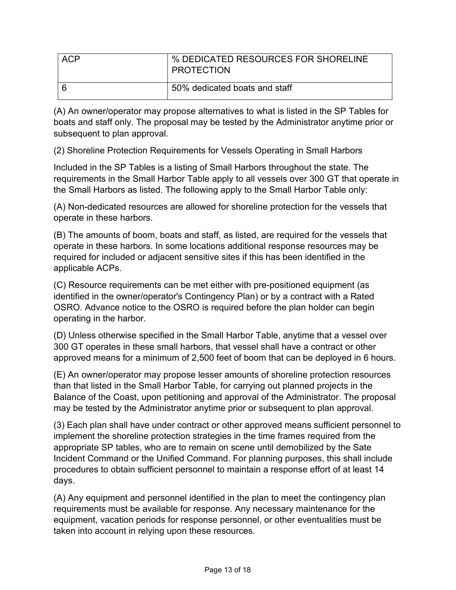| <b>ACP</b> | % DEDICATED RESOURCES FOR SHORELINE<br><b>PROTECTION</b> |
|------------|----------------------------------------------------------|
|            | 50% dedicated boats and staff                            |

(A) An owner/operator may propose alternatives to what is listed in the SP Tables for boats and staff only. The proposal may be tested by the Administrator anytime prior or subsequent to plan approval.

(2) Shoreline Protection Requirements for Vessels Operating in Small Harbors

Included in the SP Tables is a listing of Small Harbors throughout the state. The requirements in the Small Harbor Table apply to all vessels over 300 GT that operate in the Small Harbors as listed. The following apply to the Small Harbor Table only:

(A) Non-dedicated resources are allowed for shoreline protection for the vessels that operate in these harbors.

(B) The amounts of boom, boats and staff, as listed, are required for the vessels that operate in these harbors. In some locations additional response resources may be required for included or adjacent sensitive sites if this has been identified in the applicable ACPs.

(C) Resource requirements can be met either with pre-positioned equipment (as identified in the owner/operator's Contingency Plan) or by a contract with a Rated OSRO. Advance notice to the OSRO is required before the plan holder can begin operating in the harbor.

(D) Unless otherwise specified in the Small Harbor Table, anytime that a vessel over 300 GT operates in these small harbors, that vessel shall have a contract or other approved means for a minimum of 2,500 feet of boom that can be deployed in 6 hours.

(E) An owner/operator may propose lesser amounts of shoreline protection resources than that listed in the Small Harbor Table, for carrying out planned projects in the Balance of the Coast, upon petitioning and approval of the Administrator. The proposal may be tested by the Administrator anytime prior or subsequent to plan approval.

(3) Each plan shall have under contract or other approved means sufficient personnel to implement the shoreline protection strategies in the time frames required from the appropriate SP tables, who are to remain on scene until demobilized by the Sate Incident Command or the Unified Command. For planning purposes, this shall include procedures to obtain sufficient personnel to maintain a response effort of at least 14 days.

(A) Any equipment and personnel identified in the plan to meet the contingency plan requirements must be available for response. Any necessary maintenance for the equipment, vacation periods for response personnel, or other eventualities must be taken into account in relying upon these resources.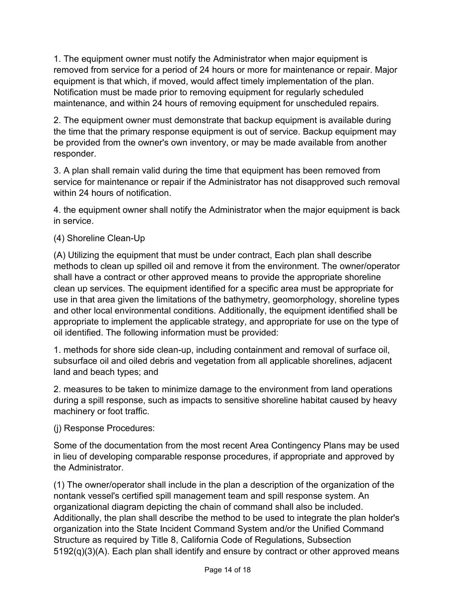1. The equipment owner must notify the Administrator when major equipment is removed from service for a period of 24 hours or more for maintenance or repair. Major equipment is that which, if moved, would affect timely implementation of the plan. Notification must be made prior to removing equipment for regularly scheduled maintenance, and within 24 hours of removing equipment for unscheduled repairs.

2. The equipment owner must demonstrate that backup equipment is available during the time that the primary response equipment is out of service. Backup equipment may be provided from the owner's own inventory, or may be made available from another responder.

3. A plan shall remain valid during the time that equipment has been removed from service for maintenance or repair if the Administrator has not disapproved such removal within 24 hours of notification.

4. the equipment owner shall notify the Administrator when the major equipment is back in service.

## (4) Shoreline Clean-Up

(A) Utilizing the equipment that must be under contract, Each plan shall describe methods to clean up spilled oil and remove it from the environment. The owner/operator shall have a contract or other approved means to provide the appropriate shoreline clean up services. The equipment identified for a specific area must be appropriate for use in that area given the limitations of the bathymetry, geomorphology, shoreline types and other local environmental conditions. Additionally, the equipment identified shall be appropriate to implement the applicable strategy, and appropriate for use on the type of oil identified. The following information must be provided:

1. methods for shore side clean-up, including containment and removal of surface oil, subsurface oil and oiled debris and vegetation from all applicable shorelines, adjacent land and beach types; and

2. measures to be taken to minimize damage to the environment from land operations during a spill response, such as impacts to sensitive shoreline habitat caused by heavy machinery or foot traffic.

(j) Response Procedures:

Some of the documentation from the most recent Area Contingency Plans may be used in lieu of developing comparable response procedures, if appropriate and approved by the Administrator.

(1) The owner/operator shall include in the plan a description of the organization of the nontank vessel's certified spill management team and spill response system. An organizational diagram depicting the chain of command shall also be included. Additionally, the plan shall describe the method to be used to integrate the plan holder's organization into the State Incident Command System and/or the Unified Command Structure as required by Title 8, California Code of Regulations, Subsection 5192(q)(3)(A). Each plan shall identify and ensure by contract or other approved means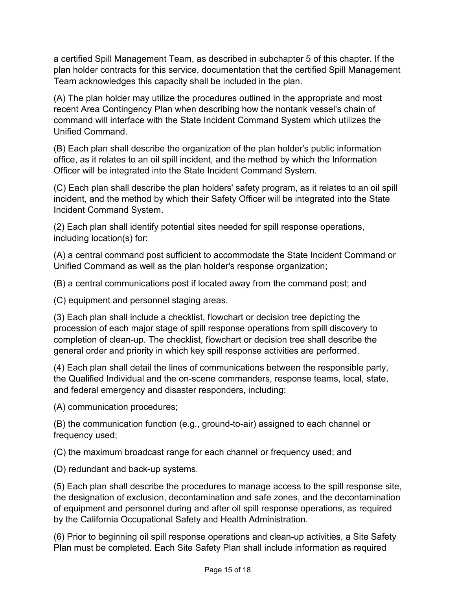a certified Spill Management Team, as described in subchapter 5 of this chapter. If the plan holder contracts for this service, documentation that the certified Spill Management Team acknowledges this capacity shall be included in the plan.

(A) The plan holder may utilize the procedures outlined in the appropriate and most recent Area Contingency Plan when describing how the nontank vessel's chain of command will interface with the State Incident Command System which utilizes the Unified Command.

(B) Each plan shall describe the organization of the plan holder's public information office, as it relates to an oil spill incident, and the method by which the Information Officer will be integrated into the State Incident Command System.

(C) Each plan shall describe the plan holders' safety program, as it relates to an oil spill incident, and the method by which their Safety Officer will be integrated into the State Incident Command System.

(2) Each plan shall identify potential sites needed for spill response operations, including location(s) for:

(A) a central command post sufficient to accommodate the State Incident Command or Unified Command as well as the plan holder's response organization;

(B) a central communications post if located away from the command post; and

(C) equipment and personnel staging areas.

(3) Each plan shall include a checklist, flowchart or decision tree depicting the procession of each major stage of spill response operations from spill discovery to completion of clean-up. The checklist, flowchart or decision tree shall describe the general order and priority in which key spill response activities are performed.

(4) Each plan shall detail the lines of communications between the responsible party, the Qualified Individual and the on-scene commanders, response teams, local, state, and federal emergency and disaster responders, including:

(A) communication procedures;

(B) the communication function (e.g., ground-to-air) assigned to each channel or frequency used;

(C) the maximum broadcast range for each channel or frequency used; and

(D) redundant and back-up systems.

(5) Each plan shall describe the procedures to manage access to the spill response site, the designation of exclusion, decontamination and safe zones, and the decontamination of equipment and personnel during and after oil spill response operations, as required by the California Occupational Safety and Health Administration.

(6) Prior to beginning oil spill response operations and clean-up activities, a Site Safety Plan must be completed. Each Site Safety Plan shall include information as required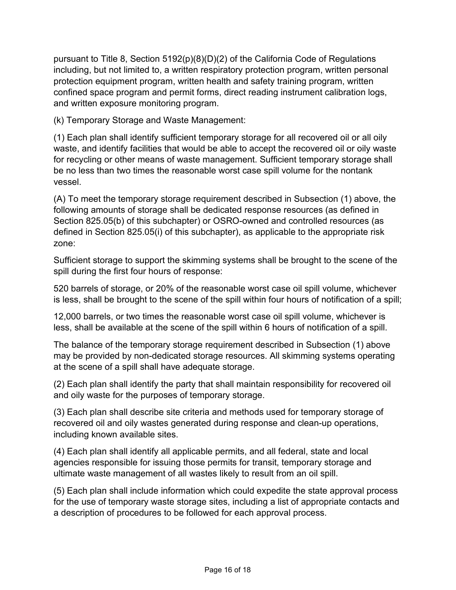pursuant to Title 8, Section 5192(p)(8)(D)(2) of the California Code of Regulations including, but not limited to, a written respiratory protection program, written personal protection equipment program, written health and safety training program, written confined space program and permit forms, direct reading instrument calibration logs, and written exposure monitoring program.

(k) Temporary Storage and Waste Management:

(1) Each plan shall identify sufficient temporary storage for all recovered oil or all oily waste, and identify facilities that would be able to accept the recovered oil or oily waste for recycling or other means of waste management. Sufficient temporary storage shall be no less than two times the reasonable worst case spill volume for the nontank vessel.

(A) To meet the temporary storage requirement described in Subsection (1) above, the following amounts of storage shall be dedicated response resources (as defined in Section 825.05(b) of this subchapter) or OSRO-owned and controlled resources (as defined in Section 825.05(i) of this subchapter), as applicable to the appropriate risk zone:

Sufficient storage to support the skimming systems shall be brought to the scene of the spill during the first four hours of response:

520 barrels of storage, or 20% of the reasonable worst case oil spill volume, whichever is less, shall be brought to the scene of the spill within four hours of notification of a spill;

12,000 barrels, or two times the reasonable worst case oil spill volume, whichever is less, shall be available at the scene of the spill within 6 hours of notification of a spill.

The balance of the temporary storage requirement described in Subsection (1) above may be provided by non-dedicated storage resources. All skimming systems operating at the scene of a spill shall have adequate storage.

(2) Each plan shall identify the party that shall maintain responsibility for recovered oil and oily waste for the purposes of temporary storage.

(3) Each plan shall describe site criteria and methods used for temporary storage of recovered oil and oily wastes generated during response and clean-up operations, including known available sites.

(4) Each plan shall identify all applicable permits, and all federal, state and local agencies responsible for issuing those permits for transit, temporary storage and ultimate waste management of all wastes likely to result from an oil spill.

(5) Each plan shall include information which could expedite the state approval process for the use of temporary waste storage sites, including a list of appropriate contacts and a description of procedures to be followed for each approval process.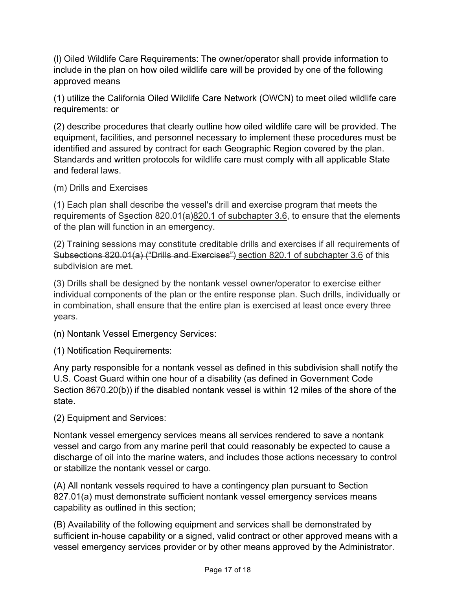(l) Oiled Wildlife Care Requirements: The owner/operator shall provide information to include in the plan on how oiled wildlife care will be provided by one of the following approved means

(1) utilize the California Oiled Wildlife Care Network (OWCN) to meet oiled wildlife care requirements: or

(2) describe procedures that clearly outline how oiled wildlife care will be provided. The equipment, facilities, and personnel necessary to implement these procedures must be identified and assured by contract for each Geographic Region covered by the plan. Standards and written protocols for wildlife care must comply with all applicable State and federal laws.

(m) Drills and Exercises

(1) Each plan shall describe the vessel's drill and exercise program that meets the requirements of Ssection  $820.01(a)820.1$  of subchapter 3.6, to ensure that the elements of the plan will function in an emergency.

(2) Training sessions may constitute creditable drills and exercises if all requirements of Subsections 820.01(a) ("Drills and Exercises") section 820.1 of subchapter 3.6 of this subdivision are met.

(3) Drills shall be designed by the nontank vessel owner/operator to exercise either individual components of the plan or the entire response plan. Such drills, individually or in combination, shall ensure that the entire plan is exercised at least once every three years.

(n) Nontank Vessel Emergency Services:

(1) Notification Requirements:

Any party responsible for a nontank vessel as defined in this subdivision shall notify the U.S. Coast Guard within one hour of a disability (as defined in Government Code Section 8670.20(b)) if the disabled nontank vessel is within 12 miles of the shore of the state.

(2) Equipment and Services:

Nontank vessel emergency services means all services rendered to save a nontank vessel and cargo from any marine peril that could reasonably be expected to cause a discharge of oil into the marine waters, and includes those actions necessary to control or stabilize the nontank vessel or cargo.

(A) All nontank vessels required to have a contingency plan pursuant to Section 827.01(a) must demonstrate sufficient nontank vessel emergency services means capability as outlined in this section;

(B) Availability of the following equipment and services shall be demonstrated by sufficient in-house capability or a signed, valid contract or other approved means with a vessel emergency services provider or by other means approved by the Administrator.